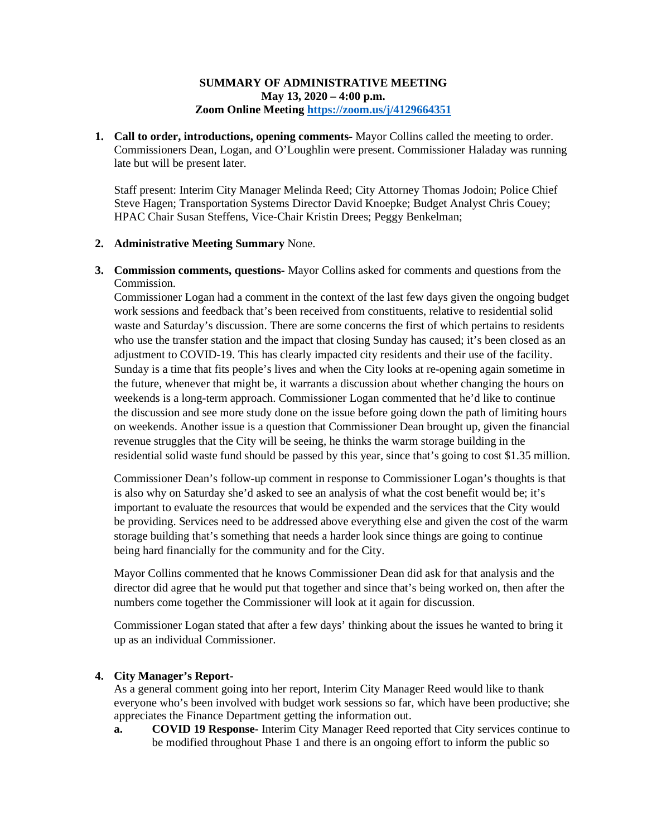## **SUMMARY OF ADMINISTRATIVE MEETING May 13, 2020 – 4:00 p.m. Zoom Online Meetin[g https://zoom.us/j/4129664351](https://zoom.us/j/4129664351)**

**1. Call to order, introductions, opening comments-** Mayor Collins called the meeting to order. Commissioners Dean, Logan, and O'Loughlin were present. Commissioner Haladay was running late but will be present later.

Staff present: Interim City Manager Melinda Reed; City Attorney Thomas Jodoin; Police Chief Steve Hagen; Transportation Systems Director David Knoepke; Budget Analyst Chris Couey; HPAC Chair Susan Steffens, Vice-Chair Kristin Drees; Peggy Benkelman;

### **2. Administrative Meeting Summary** None.

**3. Commission comments, questions-** Mayor Collins asked for comments and questions from the Commission.

Commissioner Logan had a comment in the context of the last few days given the ongoing budget work sessions and feedback that's been received from constituents, relative to residential solid waste and Saturday's discussion. There are some concerns the first of which pertains to residents who use the transfer station and the impact that closing Sunday has caused; it's been closed as an adjustment to COVID-19. This has clearly impacted city residents and their use of the facility. Sunday is a time that fits people's lives and when the City looks at re-opening again sometime in the future, whenever that might be, it warrants a discussion about whether changing the hours on weekends is a long-term approach. Commissioner Logan commented that he'd like to continue the discussion and see more study done on the issue before going down the path of limiting hours on weekends. Another issue is a question that Commissioner Dean brought up, given the financial revenue struggles that the City will be seeing, he thinks the warm storage building in the residential solid waste fund should be passed by this year, since that's going to cost \$1.35 million.

Commissioner Dean's follow-up comment in response to Commissioner Logan's thoughts is that is also why on Saturday she'd asked to see an analysis of what the cost benefit would be; it's important to evaluate the resources that would be expended and the services that the City would be providing. Services need to be addressed above everything else and given the cost of the warm storage building that's something that needs a harder look since things are going to continue being hard financially for the community and for the City.

Mayor Collins commented that he knows Commissioner Dean did ask for that analysis and the director did agree that he would put that together and since that's being worked on, then after the numbers come together the Commissioner will look at it again for discussion.

Commissioner Logan stated that after a few days' thinking about the issues he wanted to bring it up as an individual Commissioner.

## **4. City Manager's Report-**

As a general comment going into her report, Interim City Manager Reed would like to thank everyone who's been involved with budget work sessions so far, which have been productive; she appreciates the Finance Department getting the information out.

**a. COVID 19 Response-** Interim City Manager Reed reported that City services continue to be modified throughout Phase 1 and there is an ongoing effort to inform the public so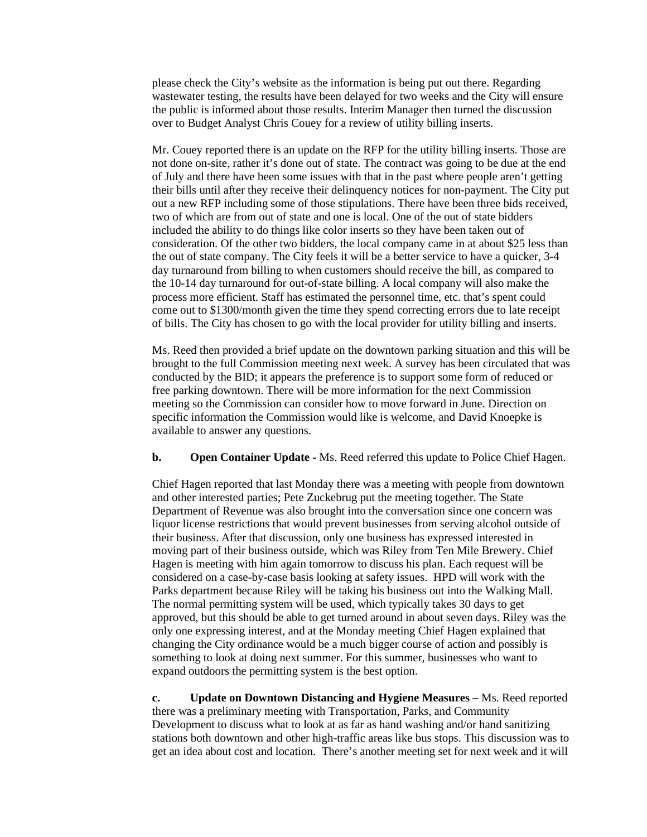please check the City's website as the information is being put out there. Regarding wastewater testing, the results have been delayed for two weeks and the City will ensure the public is informed about those results. Interim Manager then turned the discussion over to Budget Analyst Chris Couey for a review of utility billing inserts.

Mr. Couey reported there is an update on the RFP for the utility billing inserts. Those are not done on-site, rather it's done out of state. The contract was going to be due at the end of July and there have been some issues with that in the past where people aren't getting their bills until after they receive their delinquency notices for non-payment. The City put out a new RFP including some of those stipulations. There have been three bids received, two of which are from out of state and one is local. One of the out of state bidders included the ability to do things like color inserts so they have been taken out of consideration. Of the other two bidders, the local company came in at about \$25 less than the out of state company. The City feels it will be a better service to have a quicker, 3-4 day turnaround from billing to when customers should receive the bill, as compared to the 10-14 day turnaround for out-of-state billing. A local company will also make the process more efficient. Staff has estimated the personnel time, etc. that's spent could come out to \$1300/month given the time they spend correcting errors due to late receipt of bills. The City has chosen to go with the local provider for utility billing and inserts.

Ms. Reed then provided a brief update on the downtown parking situation and this will be brought to the full Commission meeting next week. A survey has been circulated that was conducted by the BID; it appears the preference is to support some form of reduced or free parking downtown. There will be more information for the next Commission meeting so the Commission can consider how to move forward in June. Direction on specific information the Commission would like is welcome, and David Knoepke is available to answer any questions.

**b. Open Container Update -** Ms. Reed referred this update to Police Chief Hagen.

Chief Hagen reported that last Monday there was a meeting with people from downtown and other interested parties; Pete Zuckebrug put the meeting together. The State Department of Revenue was also brought into the conversation since one concern was liquor license restrictions that would prevent businesses from serving alcohol outside of their business. After that discussion, only one business has expressed interested in moving part of their business outside, which was Riley from Ten Mile Brewery. Chief Hagen is meeting with him again tomorrow to discuss his plan. Each request will be considered on a case-by-case basis looking at safety issues. HPD will work with the Parks department because Riley will be taking his business out into the Walking Mall. The normal permitting system will be used, which typically takes 30 days to get approved, but this should be able to get turned around in about seven days. Riley was the only one expressing interest, and at the Monday meeting Chief Hagen explained that changing the City ordinance would be a much bigger course of action and possibly is something to look at doing next summer. For this summer, businesses who want to expand outdoors the permitting system is the best option.

**c. Update on Downtown Distancing and Hygiene Measures –** Ms. Reed reported there was a preliminary meeting with Transportation, Parks, and Community Development to discuss what to look at as far as hand washing and/or hand sanitizing stations both downtown and other high-traffic areas like bus stops. This discussion was to get an idea about cost and location. There's another meeting set for next week and it will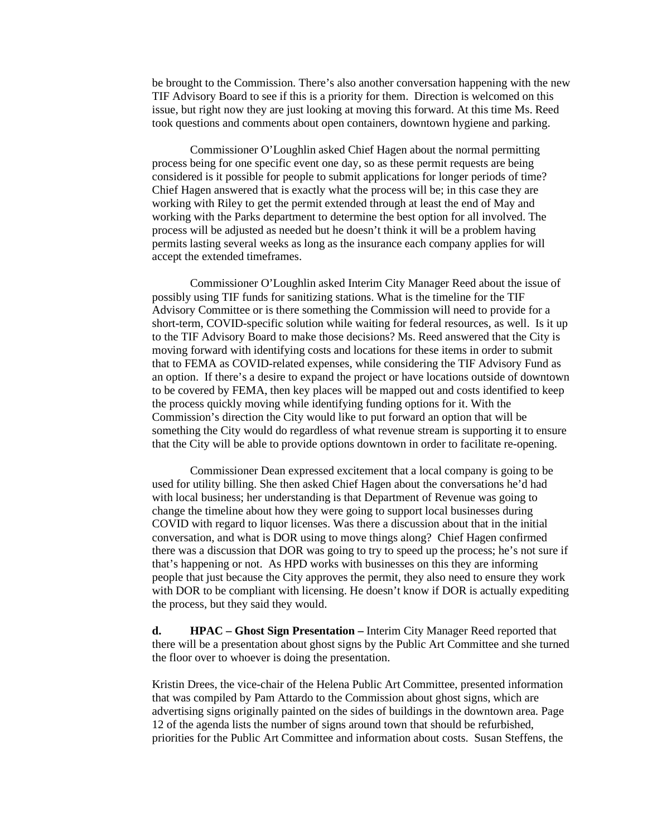be brought to the Commission. There's also another conversation happening with the new TIF Advisory Board to see if this is a priority for them. Direction is welcomed on this issue, but right now they are just looking at moving this forward. At this time Ms. Reed took questions and comments about open containers, downtown hygiene and parking.

Commissioner O'Loughlin asked Chief Hagen about the normal permitting process being for one specific event one day, so as these permit requests are being considered is it possible for people to submit applications for longer periods of time? Chief Hagen answered that is exactly what the process will be; in this case they are working with Riley to get the permit extended through at least the end of May and working with the Parks department to determine the best option for all involved. The process will be adjusted as needed but he doesn't think it will be a problem having permits lasting several weeks as long as the insurance each company applies for will accept the extended timeframes.

Commissioner O'Loughlin asked Interim City Manager Reed about the issue of possibly using TIF funds for sanitizing stations. What is the timeline for the TIF Advisory Committee or is there something the Commission will need to provide for a short-term, COVID-specific solution while waiting for federal resources, as well. Is it up to the TIF Advisory Board to make those decisions? Ms. Reed answered that the City is moving forward with identifying costs and locations for these items in order to submit that to FEMA as COVID-related expenses, while considering the TIF Advisory Fund as an option. If there's a desire to expand the project or have locations outside of downtown to be covered by FEMA, then key places will be mapped out and costs identified to keep the process quickly moving while identifying funding options for it. With the Commission's direction the City would like to put forward an option that will be something the City would do regardless of what revenue stream is supporting it to ensure that the City will be able to provide options downtown in order to facilitate re-opening.

Commissioner Dean expressed excitement that a local company is going to be used for utility billing. She then asked Chief Hagen about the conversations he'd had with local business; her understanding is that Department of Revenue was going to change the timeline about how they were going to support local businesses during COVID with regard to liquor licenses. Was there a discussion about that in the initial conversation, and what is DOR using to move things along? Chief Hagen confirmed there was a discussion that DOR was going to try to speed up the process; he's not sure if that's happening or not. As HPD works with businesses on this they are informing people that just because the City approves the permit, they also need to ensure they work with DOR to be compliant with licensing. He doesn't know if DOR is actually expediting the process, but they said they would.

**d. HPAC – Ghost Sign Presentation –** Interim City Manager Reed reported that there will be a presentation about ghost signs by the Public Art Committee and she turned the floor over to whoever is doing the presentation.

Kristin Drees, the vice-chair of the Helena Public Art Committee, presented information that was compiled by Pam Attardo to the Commission about ghost signs, which are advertising signs originally painted on the sides of buildings in the downtown area. Page 12 of the agenda lists the number of signs around town that should be refurbished, priorities for the Public Art Committee and information about costs. Susan Steffens, the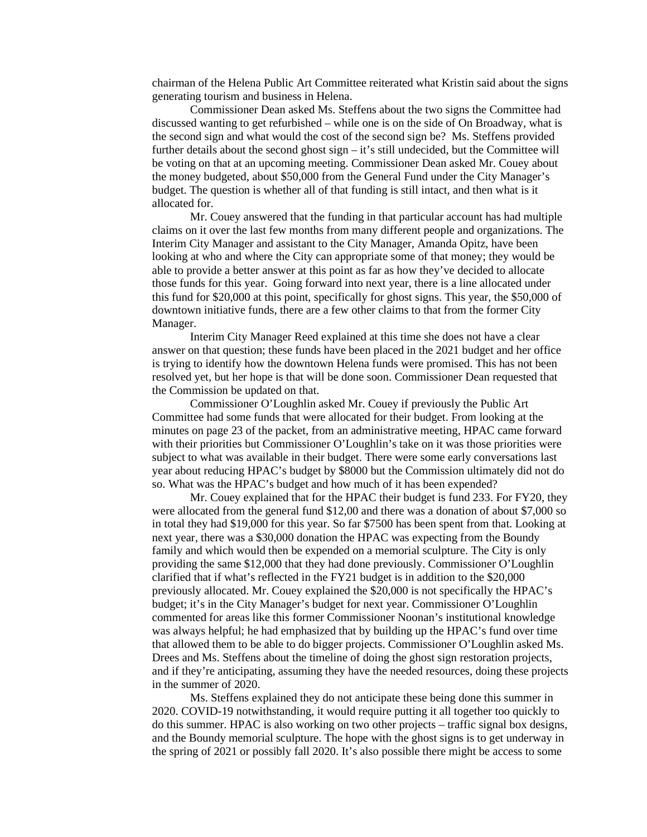chairman of the Helena Public Art Committee reiterated what Kristin said about the signs generating tourism and business in Helena.

Commissioner Dean asked Ms. Steffens about the two signs the Committee had discussed wanting to get refurbished – while one is on the side of On Broadway, what is the second sign and what would the cost of the second sign be? Ms. Steffens provided further details about the second ghost sign – it's still undecided, but the Committee will be voting on that at an upcoming meeting. Commissioner Dean asked Mr. Couey about the money budgeted, about \$50,000 from the General Fund under the City Manager's budget. The question is whether all of that funding is still intact, and then what is it allocated for.

Mr. Couey answered that the funding in that particular account has had multiple claims on it over the last few months from many different people and organizations. The Interim City Manager and assistant to the City Manager, Amanda Opitz, have been looking at who and where the City can appropriate some of that money; they would be able to provide a better answer at this point as far as how they've decided to allocate those funds for this year. Going forward into next year, there is a line allocated under this fund for \$20,000 at this point, specifically for ghost signs. This year, the \$50,000 of downtown initiative funds, there are a few other claims to that from the former City Manager.

Interim City Manager Reed explained at this time she does not have a clear answer on that question; these funds have been placed in the 2021 budget and her office is trying to identify how the downtown Helena funds were promised. This has not been resolved yet, but her hope is that will be done soon. Commissioner Dean requested that the Commission be updated on that.

Commissioner O'Loughlin asked Mr. Couey if previously the Public Art Committee had some funds that were allocated for their budget. From looking at the minutes on page 23 of the packet, from an administrative meeting, HPAC came forward with their priorities but Commissioner O'Loughlin's take on it was those priorities were subject to what was available in their budget. There were some early conversations last year about reducing HPAC's budget by \$8000 but the Commission ultimately did not do so. What was the HPAC's budget and how much of it has been expended?

Mr. Couey explained that for the HPAC their budget is fund 233. For FY20, they were allocated from the general fund \$12,00 and there was a donation of about \$7,000 so in total they had \$19,000 for this year. So far \$7500 has been spent from that. Looking at next year, there was a \$30,000 donation the HPAC was expecting from the Boundy family and which would then be expended on a memorial sculpture. The City is only providing the same \$12,000 that they had done previously. Commissioner O'Loughlin clarified that if what's reflected in the FY21 budget is in addition to the \$20,000 previously allocated. Mr. Couey explained the \$20,000 is not specifically the HPAC's budget; it's in the City Manager's budget for next year. Commissioner O'Loughlin commented for areas like this former Commissioner Noonan's institutional knowledge was always helpful; he had emphasized that by building up the HPAC's fund over time that allowed them to be able to do bigger projects. Commissioner O'Loughlin asked Ms. Drees and Ms. Steffens about the timeline of doing the ghost sign restoration projects, and if they're anticipating, assuming they have the needed resources, doing these projects in the summer of 2020.

Ms. Steffens explained they do not anticipate these being done this summer in 2020. COVID-19 notwithstanding, it would require putting it all together too quickly to do this summer. HPAC is also working on two other projects – traffic signal box designs, and the Boundy memorial sculpture. The hope with the ghost signs is to get underway in the spring of 2021 or possibly fall 2020. It's also possible there might be access to some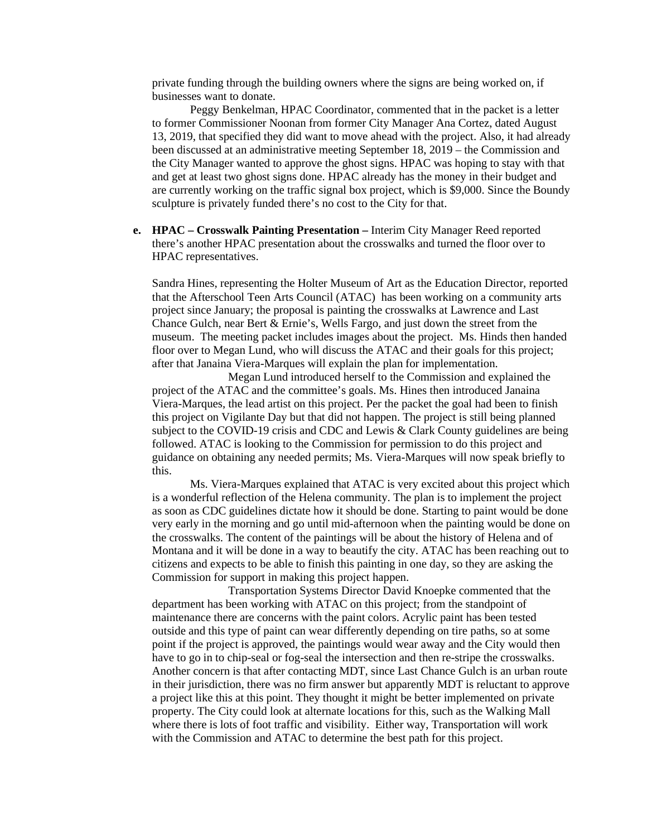private funding through the building owners where the signs are being worked on, if businesses want to donate.

Peggy Benkelman, HPAC Coordinator, commented that in the packet is a letter to former Commissioner Noonan from former City Manager Ana Cortez, dated August 13, 2019, that specified they did want to move ahead with the project. Also, it had already been discussed at an administrative meeting September 18, 2019 – the Commission and the City Manager wanted to approve the ghost signs. HPAC was hoping to stay with that and get at least two ghost signs done. HPAC already has the money in their budget and are currently working on the traffic signal box project, which is \$9,000. Since the Boundy sculpture is privately funded there's no cost to the City for that.

**e. HPAC – Crosswalk Painting Presentation –** Interim City Manager Reed reported there's another HPAC presentation about the crosswalks and turned the floor over to HPAC representatives.

Sandra Hines, representing the Holter Museum of Art as the Education Director, reported that the Afterschool Teen Arts Council (ATAC) has been working on a community arts project since January; the proposal is painting the crosswalks at Lawrence and Last Chance Gulch, near Bert & Ernie's, Wells Fargo, and just down the street from the museum. The meeting packet includes images about the project. Ms. Hinds then handed floor over to Megan Lund, who will discuss the ATAC and their goals for this project; after that Janaina Viera-Marques will explain the plan for implementation.

Megan Lund introduced herself to the Commission and explained the project of the ATAC and the committee's goals. Ms. Hines then introduced Janaina Viera-Marques, the lead artist on this project. Per the packet the goal had been to finish this project on Vigilante Day but that did not happen. The project is still being planned subject to the COVID-19 crisis and CDC and Lewis & Clark County guidelines are being followed. ATAC is looking to the Commission for permission to do this project and guidance on obtaining any needed permits; Ms. Viera-Marques will now speak briefly to this.

Ms. Viera-Marques explained that ATAC is very excited about this project which is a wonderful reflection of the Helena community. The plan is to implement the project as soon as CDC guidelines dictate how it should be done. Starting to paint would be done very early in the morning and go until mid-afternoon when the painting would be done on the crosswalks. The content of the paintings will be about the history of Helena and of Montana and it will be done in a way to beautify the city. ATAC has been reaching out to citizens and expects to be able to finish this painting in one day, so they are asking the Commission for support in making this project happen.

Transportation Systems Director David Knoepke commented that the department has been working with ATAC on this project; from the standpoint of maintenance there are concerns with the paint colors. Acrylic paint has been tested outside and this type of paint can wear differently depending on tire paths, so at some point if the project is approved, the paintings would wear away and the City would then have to go in to chip-seal or fog-seal the intersection and then re-stripe the crosswalks. Another concern is that after contacting MDT, since Last Chance Gulch is an urban route in their jurisdiction, there was no firm answer but apparently MDT is reluctant to approve a project like this at this point. They thought it might be better implemented on private property. The City could look at alternate locations for this, such as the Walking Mall where there is lots of foot traffic and visibility. Either way, Transportation will work with the Commission and ATAC to determine the best path for this project.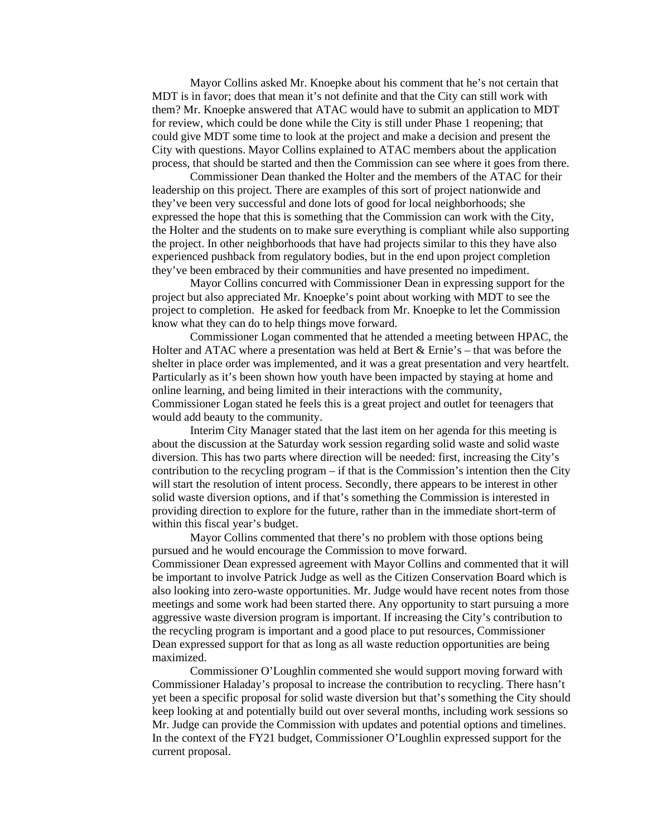Mayor Collins asked Mr. Knoepke about his comment that he's not certain that MDT is in favor; does that mean it's not definite and that the City can still work with them? Mr. Knoepke answered that ATAC would have to submit an application to MDT for review, which could be done while the City is still under Phase 1 reopening; that could give MDT some time to look at the project and make a decision and present the City with questions. Mayor Collins explained to ATAC members about the application process, that should be started and then the Commission can see where it goes from there.

Commissioner Dean thanked the Holter and the members of the ATAC for their leadership on this project. There are examples of this sort of project nationwide and they've been very successful and done lots of good for local neighborhoods; she expressed the hope that this is something that the Commission can work with the City, the Holter and the students on to make sure everything is compliant while also supporting the project. In other neighborhoods that have had projects similar to this they have also experienced pushback from regulatory bodies, but in the end upon project completion they've been embraced by their communities and have presented no impediment.

Mayor Collins concurred with Commissioner Dean in expressing support for the project but also appreciated Mr. Knoepke's point about working with MDT to see the project to completion. He asked for feedback from Mr. Knoepke to let the Commission know what they can do to help things move forward.

Commissioner Logan commented that he attended a meeting between HPAC, the Holter and ATAC where a presentation was held at Bert & Ernie's – that was before the shelter in place order was implemented, and it was a great presentation and very heartfelt. Particularly as it's been shown how youth have been impacted by staying at home and online learning, and being limited in their interactions with the community, Commissioner Logan stated he feels this is a great project and outlet for teenagers that would add beauty to the community.

Interim City Manager stated that the last item on her agenda for this meeting is about the discussion at the Saturday work session regarding solid waste and solid waste diversion. This has two parts where direction will be needed: first, increasing the City's contribution to the recycling program – if that is the Commission's intention then the City will start the resolution of intent process. Secondly, there appears to be interest in other solid waste diversion options, and if that's something the Commission is interested in providing direction to explore for the future, rather than in the immediate short-term of within this fiscal year's budget.

Mayor Collins commented that there's no problem with those options being pursued and he would encourage the Commission to move forward. Commissioner Dean expressed agreement with Mayor Collins and commented that it will be important to involve Patrick Judge as well as the Citizen Conservation Board which is also looking into zero-waste opportunities. Mr. Judge would have recent notes from those meetings and some work had been started there. Any opportunity to start pursuing a more aggressive waste diversion program is important. If increasing the City's contribution to the recycling program is important and a good place to put resources, Commissioner Dean expressed support for that as long as all waste reduction opportunities are being maximized.

Commissioner O'Loughlin commented she would support moving forward with Commissioner Haladay's proposal to increase the contribution to recycling. There hasn't yet been a specific proposal for solid waste diversion but that's something the City should keep looking at and potentially build out over several months, including work sessions so Mr. Judge can provide the Commission with updates and potential options and timelines. In the context of the FY21 budget, Commissioner O'Loughlin expressed support for the current proposal.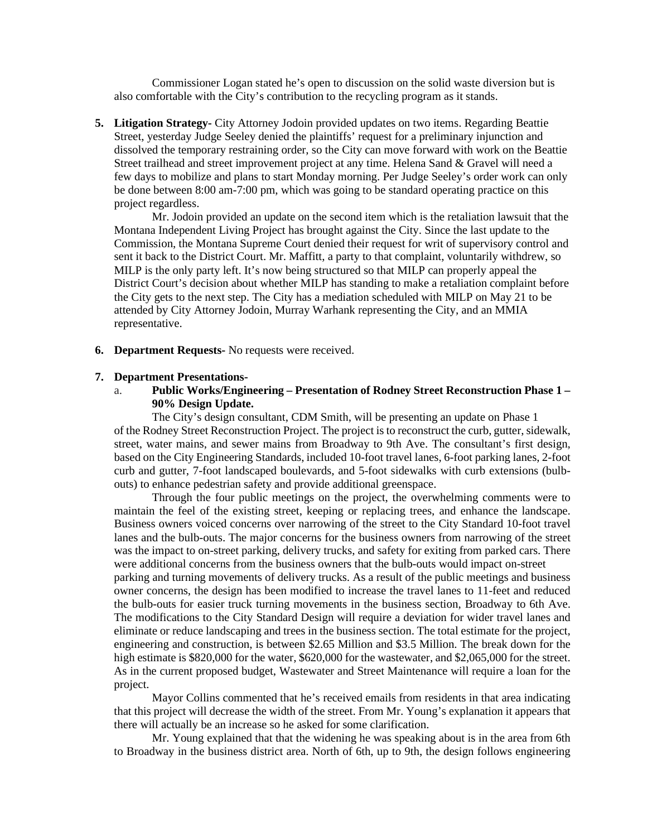Commissioner Logan stated he's open to discussion on the solid waste diversion but is also comfortable with the City's contribution to the recycling program as it stands.

**5. Litigation Strategy-** City Attorney Jodoin provided updates on two items. Regarding Beattie Street, yesterday Judge Seeley denied the plaintiffs' request for a preliminary injunction and dissolved the temporary restraining order, so the City can move forward with work on the Beattie Street trailhead and street improvement project at any time. Helena Sand & Gravel will need a few days to mobilize and plans to start Monday morning. Per Judge Seeley's order work can only be done between 8:00 am-7:00 pm, which was going to be standard operating practice on this project regardless.

Mr. Jodoin provided an update on the second item which is the retaliation lawsuit that the Montana Independent Living Project has brought against the City. Since the last update to the Commission, the Montana Supreme Court denied their request for writ of supervisory control and sent it back to the District Court. Mr. Maffitt, a party to that complaint, voluntarily withdrew, so MILP is the only party left. It's now being structured so that MILP can properly appeal the District Court's decision about whether MILP has standing to make a retaliation complaint before the City gets to the next step. The City has a mediation scheduled with MILP on May 21 to be attended by City Attorney Jodoin, Murray Warhank representing the City, and an MMIA representative.

**6. Department Requests-** No requests were received.

#### **7. Department Presentations-**

a. **Public Works/Engineering – Presentation of Rodney Street Reconstruction Phase 1 – 90% Design Update.**

The City's design consultant, CDM Smith, will be presenting an update on Phase 1 of the Rodney Street Reconstruction Project. The project is to reconstruct the curb, gutter, sidewalk, street, water mains, and sewer mains from Broadway to 9th Ave. The consultant's first design, based on the City Engineering Standards, included 10-foot travel lanes, 6-foot parking lanes, 2-foot curb and gutter, 7-foot landscaped boulevards, and 5-foot sidewalks with curb extensions (bulbouts) to enhance pedestrian safety and provide additional greenspace.

Through the four public meetings on the project, the overwhelming comments were to maintain the feel of the existing street, keeping or replacing trees, and enhance the landscape. Business owners voiced concerns over narrowing of the street to the City Standard 10-foot travel lanes and the bulb-outs. The major concerns for the business owners from narrowing of the street was the impact to on-street parking, delivery trucks, and safety for exiting from parked cars. There were additional concerns from the business owners that the bulb-outs would impact on-street

parking and turning movements of delivery trucks. As a result of the public meetings and business owner concerns, the design has been modified to increase the travel lanes to 11-feet and reduced the bulb-outs for easier truck turning movements in the business section, Broadway to 6th Ave. The modifications to the City Standard Design will require a deviation for wider travel lanes and eliminate or reduce landscaping and trees in the business section. The total estimate for the project, engineering and construction, is between \$2.65 Million and \$3.5 Million. The break down for the high estimate is \$820,000 for the water, \$620,000 for the wastewater, and \$2,065,000 for the street. As in the current proposed budget, Wastewater and Street Maintenance will require a loan for the project.

Mayor Collins commented that he's received emails from residents in that area indicating that this project will decrease the width of the street. From Mr. Young's explanation it appears that there will actually be an increase so he asked for some clarification.

Mr. Young explained that that the widening he was speaking about is in the area from 6th to Broadway in the business district area. North of 6th, up to 9th, the design follows engineering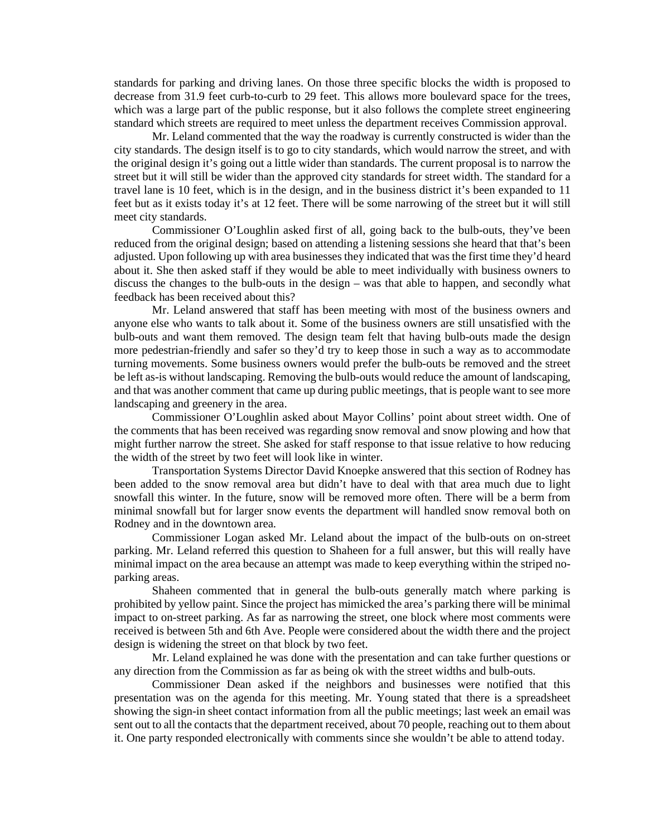standards for parking and driving lanes. On those three specific blocks the width is proposed to decrease from 31.9 feet curb-to-curb to 29 feet. This allows more boulevard space for the trees, which was a large part of the public response, but it also follows the complete street engineering standard which streets are required to meet unless the department receives Commission approval.

Mr. Leland commented that the way the roadway is currently constructed is wider than the city standards. The design itself is to go to city standards, which would narrow the street, and with the original design it's going out a little wider than standards. The current proposal is to narrow the street but it will still be wider than the approved city standards for street width. The standard for a travel lane is 10 feet, which is in the design, and in the business district it's been expanded to 11 feet but as it exists today it's at 12 feet. There will be some narrowing of the street but it will still meet city standards.

Commissioner O'Loughlin asked first of all, going back to the bulb-outs, they've been reduced from the original design; based on attending a listening sessions she heard that that's been adjusted. Upon following up with area businesses they indicated that was the first time they'd heard about it. She then asked staff if they would be able to meet individually with business owners to discuss the changes to the bulb-outs in the design – was that able to happen, and secondly what feedback has been received about this?

Mr. Leland answered that staff has been meeting with most of the business owners and anyone else who wants to talk about it. Some of the business owners are still unsatisfied with the bulb-outs and want them removed. The design team felt that having bulb-outs made the design more pedestrian-friendly and safer so they'd try to keep those in such a way as to accommodate turning movements. Some business owners would prefer the bulb-outs be removed and the street be left as-is without landscaping. Removing the bulb-outs would reduce the amount of landscaping, and that was another comment that came up during public meetings, that is people want to see more landscaping and greenery in the area.

Commissioner O'Loughlin asked about Mayor Collins' point about street width. One of the comments that has been received was regarding snow removal and snow plowing and how that might further narrow the street. She asked for staff response to that issue relative to how reducing the width of the street by two feet will look like in winter.

Transportation Systems Director David Knoepke answered that this section of Rodney has been added to the snow removal area but didn't have to deal with that area much due to light snowfall this winter. In the future, snow will be removed more often. There will be a berm from minimal snowfall but for larger snow events the department will handled snow removal both on Rodney and in the downtown area.

Commissioner Logan asked Mr. Leland about the impact of the bulb-outs on on-street parking. Mr. Leland referred this question to Shaheen for a full answer, but this will really have minimal impact on the area because an attempt was made to keep everything within the striped noparking areas.

Shaheen commented that in general the bulb-outs generally match where parking is prohibited by yellow paint. Since the project has mimicked the area's parking there will be minimal impact to on-street parking. As far as narrowing the street, one block where most comments were received is between 5th and 6th Ave. People were considered about the width there and the project design is widening the street on that block by two feet.

Mr. Leland explained he was done with the presentation and can take further questions or any direction from the Commission as far as being ok with the street widths and bulb-outs.

Commissioner Dean asked if the neighbors and businesses were notified that this presentation was on the agenda for this meeting. Mr. Young stated that there is a spreadsheet showing the sign-in sheet contact information from all the public meetings; last week an email was sent out to all the contacts that the department received, about 70 people, reaching out to them about it. One party responded electronically with comments since she wouldn't be able to attend today.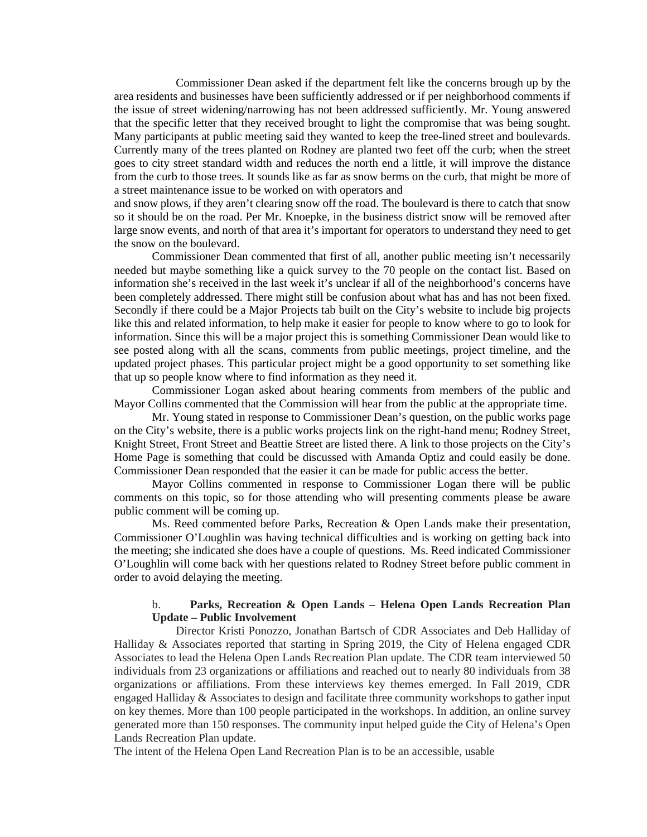Commissioner Dean asked if the department felt like the concerns brough up by the area residents and businesses have been sufficiently addressed or if per neighborhood comments if the issue of street widening/narrowing has not been addressed sufficiently. Mr. Young answered that the specific letter that they received brought to light the compromise that was being sought. Many participants at public meeting said they wanted to keep the tree-lined street and boulevards. Currently many of the trees planted on Rodney are planted two feet off the curb; when the street goes to city street standard width and reduces the north end a little, it will improve the distance from the curb to those trees. It sounds like as far as snow berms on the curb, that might be more of a street maintenance issue to be worked on with operators and

and snow plows, if they aren't clearing snow off the road. The boulevard is there to catch that snow so it should be on the road. Per Mr. Knoepke, in the business district snow will be removed after large snow events, and north of that area it's important for operators to understand they need to get the snow on the boulevard.

Commissioner Dean commented that first of all, another public meeting isn't necessarily needed but maybe something like a quick survey to the 70 people on the contact list. Based on information she's received in the last week it's unclear if all of the neighborhood's concerns have been completely addressed. There might still be confusion about what has and has not been fixed. Secondly if there could be a Major Projects tab built on the City's website to include big projects like this and related information, to help make it easier for people to know where to go to look for information. Since this will be a major project this is something Commissioner Dean would like to see posted along with all the scans, comments from public meetings, project timeline, and the updated project phases. This particular project might be a good opportunity to set something like that up so people know where to find information as they need it.

Commissioner Logan asked about hearing comments from members of the public and Mayor Collins commented that the Commission will hear from the public at the appropriate time.

Mr. Young stated in response to Commissioner Dean's question, on the public works page on the City's website, there is a public works projects link on the right-hand menu; Rodney Street, Knight Street, Front Street and Beattie Street are listed there. A link to those projects on the City's Home Page is something that could be discussed with Amanda Optiz and could easily be done. Commissioner Dean responded that the easier it can be made for public access the better.

Mayor Collins commented in response to Commissioner Logan there will be public comments on this topic, so for those attending who will presenting comments please be aware public comment will be coming up.

Ms. Reed commented before Parks, Recreation & Open Lands make their presentation, Commissioner O'Loughlin was having technical difficulties and is working on getting back into the meeting; she indicated she does have a couple of questions. Ms. Reed indicated Commissioner O'Loughlin will come back with her questions related to Rodney Street before public comment in order to avoid delaying the meeting.

# b. **Parks, Recreation & Open Lands – Helena Open Lands Recreation Plan Update – Public Involvement**

Director Kristi Ponozzo, Jonathan Bartsch of CDR Associates and Deb Halliday of Halliday & Associates reported that starting in Spring 2019, the City of Helena engaged CDR Associates to lead the Helena Open Lands Recreation Plan update. The CDR team interviewed 50 individuals from 23 organizations or affiliations and reached out to nearly 80 individuals from 38 organizations or affiliations. From these interviews key themes emerged. In Fall 2019, CDR engaged Halliday & Associates to design and facilitate three community workshops to gather input on key themes. More than 100 people participated in the workshops. In addition, an online survey generated more than 150 responses. The community input helped guide the City of Helena's Open Lands Recreation Plan update.

The intent of the Helena Open Land Recreation Plan is to be an accessible, usable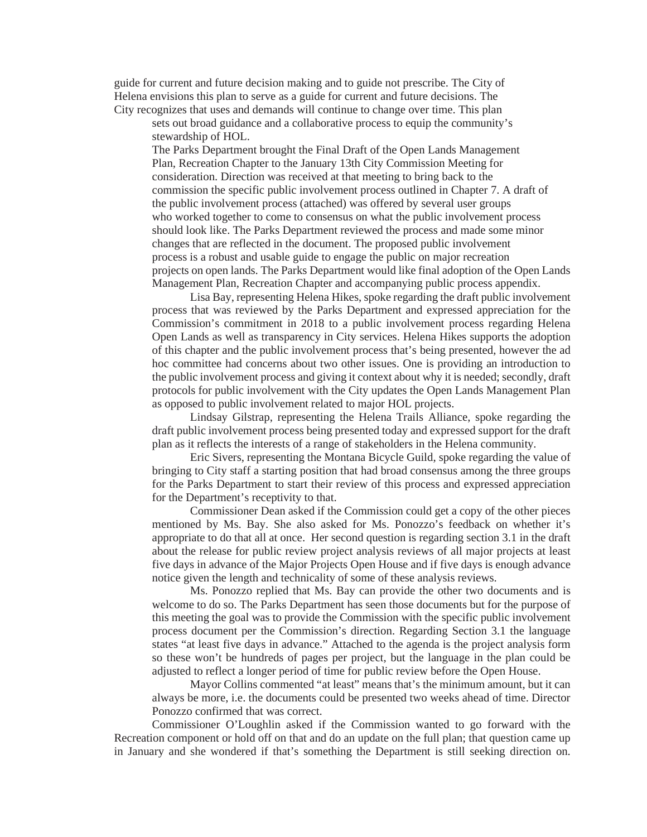guide for current and future decision making and to guide not prescribe. The City of Helena envisions this plan to serve as a guide for current and future decisions. The City recognizes that uses and demands will continue to change over time. This plan

sets out broad guidance and a collaborative process to equip the community's stewardship of HOL.

The Parks Department brought the Final Draft of the Open Lands Management Plan, Recreation Chapter to the January 13th City Commission Meeting for consideration. Direction was received at that meeting to bring back to the commission the specific public involvement process outlined in Chapter 7. A draft of the public involvement process (attached) was offered by several user groups who worked together to come to consensus on what the public involvement process should look like. The Parks Department reviewed the process and made some minor changes that are reflected in the document. The proposed public involvement process is a robust and usable guide to engage the public on major recreation projects on open lands. The Parks Department would like final adoption of the Open Lands Management Plan, Recreation Chapter and accompanying public process appendix.

Lisa Bay, representing Helena Hikes, spoke regarding the draft public involvement process that was reviewed by the Parks Department and expressed appreciation for the Commission's commitment in 2018 to a public involvement process regarding Helena Open Lands as well as transparency in City services. Helena Hikes supports the adoption of this chapter and the public involvement process that's being presented, however the ad hoc committee had concerns about two other issues. One is providing an introduction to the public involvement process and giving it context about why it is needed; secondly, draft protocols for public involvement with the City updates the Open Lands Management Plan as opposed to public involvement related to major HOL projects.

Lindsay Gilstrap, representing the Helena Trails Alliance, spoke regarding the draft public involvement process being presented today and expressed support for the draft plan as it reflects the interests of a range of stakeholders in the Helena community.

Eric Sivers, representing the Montana Bicycle Guild, spoke regarding the value of bringing to City staff a starting position that had broad consensus among the three groups for the Parks Department to start their review of this process and expressed appreciation for the Department's receptivity to that.

Commissioner Dean asked if the Commission could get a copy of the other pieces mentioned by Ms. Bay. She also asked for Ms. Ponozzo's feedback on whether it's appropriate to do that all at once. Her second question is regarding section 3.1 in the draft about the release for public review project analysis reviews of all major projects at least five days in advance of the Major Projects Open House and if five days is enough advance notice given the length and technicality of some of these analysis reviews.

Ms. Ponozzo replied that Ms. Bay can provide the other two documents and is welcome to do so. The Parks Department has seen those documents but for the purpose of this meeting the goal was to provide the Commission with the specific public involvement process document per the Commission's direction. Regarding Section 3.1 the language states "at least five days in advance." Attached to the agenda is the project analysis form so these won't be hundreds of pages per project, but the language in the plan could be adjusted to reflect a longer period of time for public review before the Open House.

Mayor Collins commented "at least" means that's the minimum amount, but it can always be more, i.e. the documents could be presented two weeks ahead of time. Director Ponozzo confirmed that was correct.

Commissioner O'Loughlin asked if the Commission wanted to go forward with the Recreation component or hold off on that and do an update on the full plan; that question came up in January and she wondered if that's something the Department is still seeking direction on.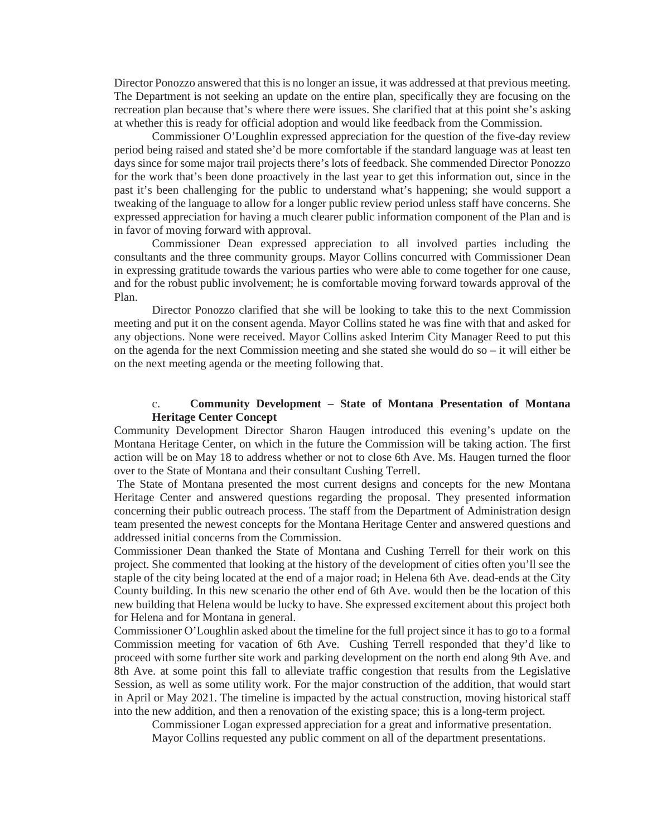Director Ponozzo answered that this is no longer an issue, it was addressed at that previous meeting. The Department is not seeking an update on the entire plan, specifically they are focusing on the recreation plan because that's where there were issues. She clarified that at this point she's asking at whether this is ready for official adoption and would like feedback from the Commission.

Commissioner O'Loughlin expressed appreciation for the question of the five-day review period being raised and stated she'd be more comfortable if the standard language was at least ten days since for some major trail projects there's lots of feedback. She commended Director Ponozzo for the work that's been done proactively in the last year to get this information out, since in the past it's been challenging for the public to understand what's happening; she would support a tweaking of the language to allow for a longer public review period unless staff have concerns. She expressed appreciation for having a much clearer public information component of the Plan and is in favor of moving forward with approval.

Commissioner Dean expressed appreciation to all involved parties including the consultants and the three community groups. Mayor Collins concurred with Commissioner Dean in expressing gratitude towards the various parties who were able to come together for one cause, and for the robust public involvement; he is comfortable moving forward towards approval of the Plan.

Director Ponozzo clarified that she will be looking to take this to the next Commission meeting and put it on the consent agenda. Mayor Collins stated he was fine with that and asked for any objections. None were received. Mayor Collins asked Interim City Manager Reed to put this on the agenda for the next Commission meeting and she stated she would do so – it will either be on the next meeting agenda or the meeting following that.

### c. **Community Development – State of Montana Presentation of Montana Heritage Center Concept**

Community Development Director Sharon Haugen introduced this evening's update on the Montana Heritage Center, on which in the future the Commission will be taking action. The first action will be on May 18 to address whether or not to close 6th Ave. Ms. Haugen turned the floor over to the State of Montana and their consultant Cushing Terrell.

The State of Montana presented the most current designs and concepts for the new Montana Heritage Center and answered questions regarding the proposal. They presented information concerning their public outreach process. The staff from the Department of Administration design team presented the newest concepts for the Montana Heritage Center and answered questions and addressed initial concerns from the Commission.

Commissioner Dean thanked the State of Montana and Cushing Terrell for their work on this project. She commented that looking at the history of the development of cities often you'll see the staple of the city being located at the end of a major road; in Helena 6th Ave. dead-ends at the City County building. In this new scenario the other end of 6th Ave. would then be the location of this new building that Helena would be lucky to have. She expressed excitement about this project both for Helena and for Montana in general.

Commissioner O'Loughlin asked about the timeline for the full project since it has to go to a formal Commission meeting for vacation of 6th Ave. Cushing Terrell responded that they'd like to proceed with some further site work and parking development on the north end along 9th Ave. and 8th Ave. at some point this fall to alleviate traffic congestion that results from the Legislative Session, as well as some utility work. For the major construction of the addition, that would start in April or May 2021. The timeline is impacted by the actual construction, moving historical staff into the new addition, and then a renovation of the existing space; this is a long-term project.

Commissioner Logan expressed appreciation for a great and informative presentation.

Mayor Collins requested any public comment on all of the department presentations.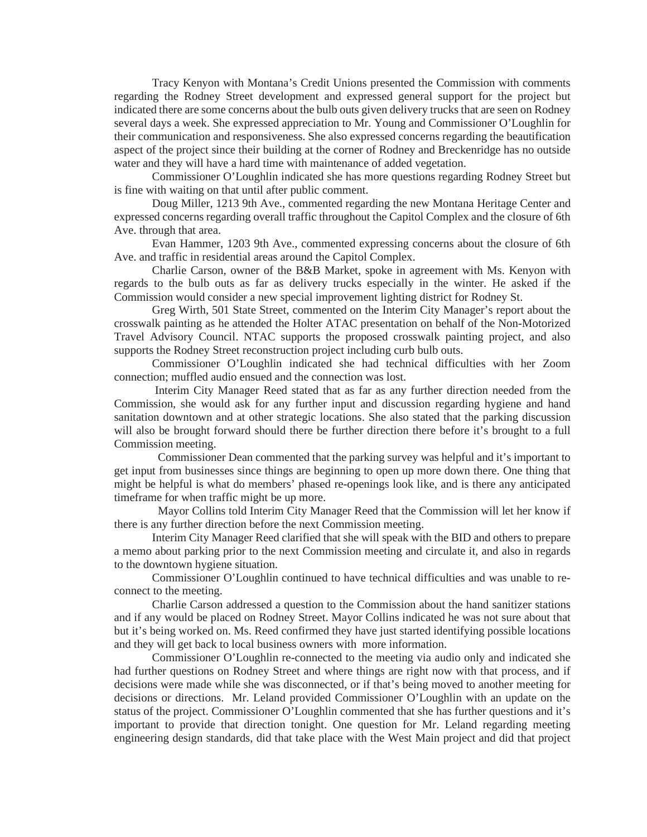Tracy Kenyon with Montana's Credit Unions presented the Commission with comments regarding the Rodney Street development and expressed general support for the project but indicated there are some concerns about the bulb outs given delivery trucks that are seen on Rodney several days a week. She expressed appreciation to Mr. Young and Commissioner O'Loughlin for their communication and responsiveness. She also expressed concerns regarding the beautification aspect of the project since their building at the corner of Rodney and Breckenridge has no outside water and they will have a hard time with maintenance of added vegetation.

Commissioner O'Loughlin indicated she has more questions regarding Rodney Street but is fine with waiting on that until after public comment.

Doug Miller, 1213 9th Ave., commented regarding the new Montana Heritage Center and expressed concerns regarding overall traffic throughout the Capitol Complex and the closure of 6th Ave. through that area.

Evan Hammer, 1203 9th Ave., commented expressing concerns about the closure of 6th Ave. and traffic in residential areas around the Capitol Complex.

Charlie Carson, owner of the B&B Market, spoke in agreement with Ms. Kenyon with regards to the bulb outs as far as delivery trucks especially in the winter. He asked if the Commission would consider a new special improvement lighting district for Rodney St.

Greg Wirth, 501 State Street, commented on the Interim City Manager's report about the crosswalk painting as he attended the Holter ATAC presentation on behalf of the Non-Motorized Travel Advisory Council. NTAC supports the proposed crosswalk painting project, and also supports the Rodney Street reconstruction project including curb bulb outs.

Commissioner O'Loughlin indicated she had technical difficulties with her Zoom connection; muffled audio ensued and the connection was lost.

Interim City Manager Reed stated that as far as any further direction needed from the Commission, she would ask for any further input and discussion regarding hygiene and hand sanitation downtown and at other strategic locations. She also stated that the parking discussion will also be brought forward should there be further direction there before it's brought to a full Commission meeting.

 Commissioner Dean commented that the parking survey was helpful and it's important to get input from businesses since things are beginning to open up more down there. One thing that might be helpful is what do members' phased re-openings look like, and is there any anticipated timeframe for when traffic might be up more.

 Mayor Collins told Interim City Manager Reed that the Commission will let her know if there is any further direction before the next Commission meeting.

Interim City Manager Reed clarified that she will speak with the BID and others to prepare a memo about parking prior to the next Commission meeting and circulate it, and also in regards to the downtown hygiene situation.

Commissioner O'Loughlin continued to have technical difficulties and was unable to reconnect to the meeting.

Charlie Carson addressed a question to the Commission about the hand sanitizer stations and if any would be placed on Rodney Street. Mayor Collins indicated he was not sure about that but it's being worked on. Ms. Reed confirmed they have just started identifying possible locations and they will get back to local business owners with more information.

Commissioner O'Loughlin re-connected to the meeting via audio only and indicated she had further questions on Rodney Street and where things are right now with that process, and if decisions were made while she was disconnected, or if that's being moved to another meeting for decisions or directions. Mr. Leland provided Commissioner O'Loughlin with an update on the status of the project. Commissioner O'Loughlin commented that she has further questions and it's important to provide that direction tonight. One question for Mr. Leland regarding meeting engineering design standards, did that take place with the West Main project and did that project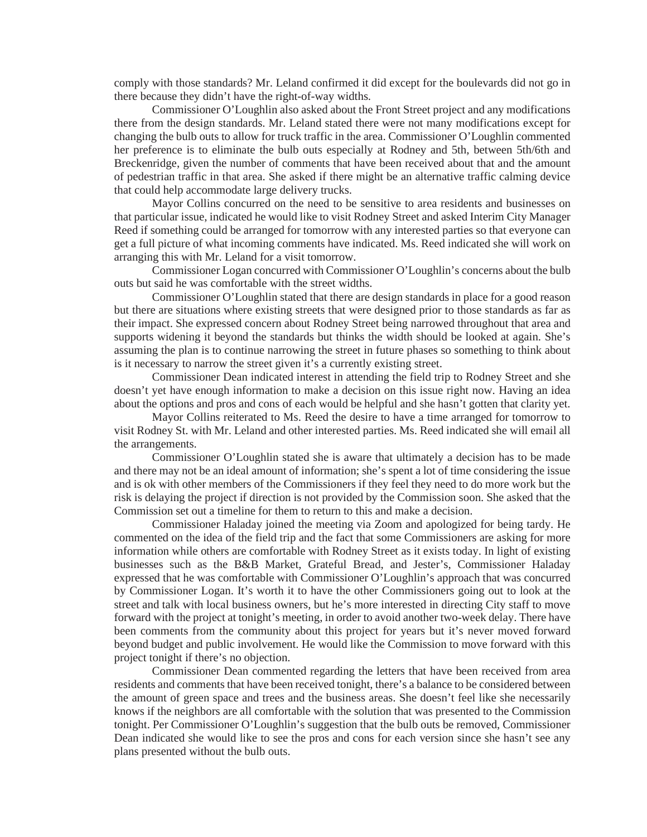comply with those standards? Mr. Leland confirmed it did except for the boulevards did not go in there because they didn't have the right-of-way widths.

Commissioner O'Loughlin also asked about the Front Street project and any modifications there from the design standards. Mr. Leland stated there were not many modifications except for changing the bulb outs to allow for truck traffic in the area. Commissioner O'Loughlin commented her preference is to eliminate the bulb outs especially at Rodney and 5th, between 5th/6th and Breckenridge, given the number of comments that have been received about that and the amount of pedestrian traffic in that area. She asked if there might be an alternative traffic calming device that could help accommodate large delivery trucks.

Mayor Collins concurred on the need to be sensitive to area residents and businesses on that particular issue, indicated he would like to visit Rodney Street and asked Interim City Manager Reed if something could be arranged for tomorrow with any interested parties so that everyone can get a full picture of what incoming comments have indicated. Ms. Reed indicated she will work on arranging this with Mr. Leland for a visit tomorrow.

Commissioner Logan concurred with Commissioner O'Loughlin's concerns about the bulb outs but said he was comfortable with the street widths.

Commissioner O'Loughlin stated that there are design standards in place for a good reason but there are situations where existing streets that were designed prior to those standards as far as their impact. She expressed concern about Rodney Street being narrowed throughout that area and supports widening it beyond the standards but thinks the width should be looked at again. She's assuming the plan is to continue narrowing the street in future phases so something to think about is it necessary to narrow the street given it's a currently existing street.

Commissioner Dean indicated interest in attending the field trip to Rodney Street and she doesn't yet have enough information to make a decision on this issue right now. Having an idea about the options and pros and cons of each would be helpful and she hasn't gotten that clarity yet.

Mayor Collins reiterated to Ms. Reed the desire to have a time arranged for tomorrow to visit Rodney St. with Mr. Leland and other interested parties. Ms. Reed indicated she will email all the arrangements.

Commissioner O'Loughlin stated she is aware that ultimately a decision has to be made and there may not be an ideal amount of information; she's spent a lot of time considering the issue and is ok with other members of the Commissioners if they feel they need to do more work but the risk is delaying the project if direction is not provided by the Commission soon. She asked that the Commission set out a timeline for them to return to this and make a decision.

Commissioner Haladay joined the meeting via Zoom and apologized for being tardy. He commented on the idea of the field trip and the fact that some Commissioners are asking for more information while others are comfortable with Rodney Street as it exists today. In light of existing businesses such as the B&B Market, Grateful Bread, and Jester's, Commissioner Haladay expressed that he was comfortable with Commissioner O'Loughlin's approach that was concurred by Commissioner Logan. It's worth it to have the other Commissioners going out to look at the street and talk with local business owners, but he's more interested in directing City staff to move forward with the project at tonight's meeting, in order to avoid another two-week delay. There have been comments from the community about this project for years but it's never moved forward beyond budget and public involvement. He would like the Commission to move forward with this project tonight if there's no objection.

Commissioner Dean commented regarding the letters that have been received from area residents and comments that have been received tonight, there's a balance to be considered between the amount of green space and trees and the business areas. She doesn't feel like she necessarily knows if the neighbors are all comfortable with the solution that was presented to the Commission tonight. Per Commissioner O'Loughlin's suggestion that the bulb outs be removed, Commissioner Dean indicated she would like to see the pros and cons for each version since she hasn't see any plans presented without the bulb outs.